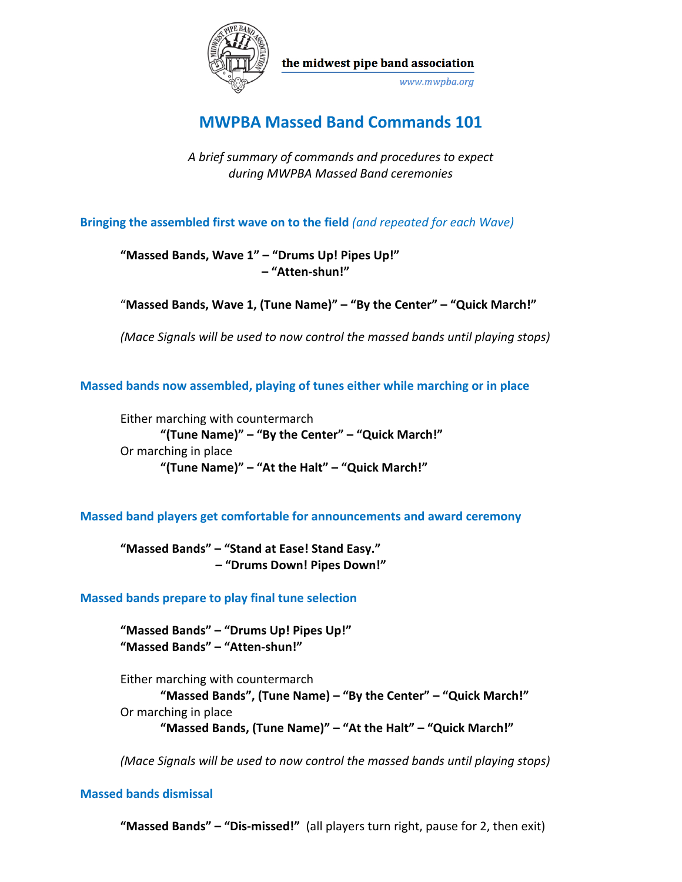

the midwest pipe band association

www.mwpba.org

# **MWPBA Massed Band Commands 101**

*A brief summary of commands and procedures to expect during MWPBA Massed Band ceremonies*

**Bringing the assembled first wave on to the field** *(and repeated for each Wave)*

**"Massed Bands, Wave 1" – "Drums Up! Pipes Up!" – "Atten-shun!"**

"**Massed Bands, Wave 1, (Tune Name)" – "By the Center" – "Quick March!"**

*(Mace Signals will be used to now control the massed bands until playing stops)*

**Massed bands now assembled, playing of tunes either while marching or in place**

Either marching with countermarch **"(Tune Name)" – "By the Center" – "Quick March!"** Or marching in place **"(Tune Name)" – "At the Halt" – "Quick March!"**

**Massed band players get comfortable for announcements and award ceremony**

**"Massed Bands" – "Stand at Ease! Stand Easy." – "Drums Down! Pipes Down!"**

**Massed bands prepare to play final tune selection**

**"Massed Bands" – "Drums Up! Pipes Up!" "Massed Bands" – "Atten-shun!"**

Either marching with countermarch **"Massed Bands", (Tune Name) – "By the Center" – "Quick March!"** Or marching in place **"Massed Bands, (Tune Name)" – "At the Halt" – "Quick March!"**

*(Mace Signals will be used to now control the massed bands until playing stops)*

## **Massed bands dismissal**

**"Massed Bands" – "Dis-missed!"** (all players turn right, pause for 2, then exit)